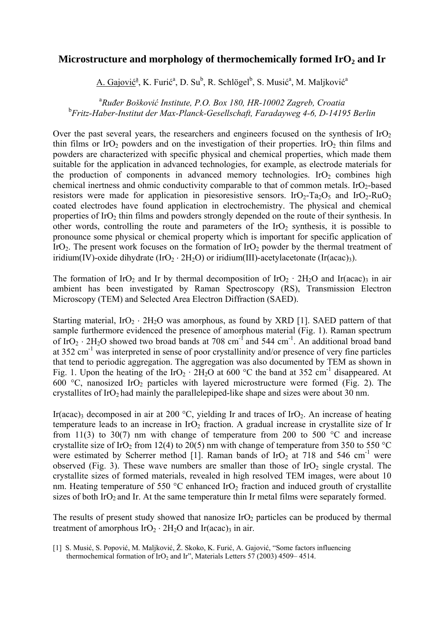## Microstructure and morphology of thermochemically formed IrO<sub>2</sub> and Ir

A. Gajović<sup>a</sup>, K. Furić<sup>a</sup>, D. Su<sup>b</sup>, R. Schlögel<sup>b</sup>, S. Musić<sup>a</sup>, M. Maljković<sup>a</sup>

a *Ruđer Bošković Institute, P.O. Box 180, HR-10002 Zagreb, Croatia*  b *Fritz-Haber-Institut der Max-Planck-Gesellschaft, Faradayweg 4-6, D-14195 Berlin* 

Over the past several years, the researchers and engineers focused on the synthesis of  $IrO<sub>2</sub>$ thin films or IrO<sub>2</sub> powders and on the investigation of their properties. IrO<sub>2</sub> thin films and powders are characterized with specific physical and chemical properties, which made them suitable for the application in advanced technologies, for example, as electrode materials for the production of components in advanced memory technologies. IrO<sub>2</sub> combines high chemical inertness and ohmic conductivity comparable to that of common metals. IrO<sub>2</sub>-based resistors were made for application in piesoresistive sensors. IrO<sub>2</sub>-Ta<sub>2</sub>O<sub>5</sub> and IrO<sub>2</sub>-RuO<sub>2</sub> coated electrodes have found application in electrochemistry. The physical and chemical properties of IrO<sub>2</sub> thin films and powders strongly depended on the route of their synthesis. In other words, controlling the route and parameters of the  $IrO<sub>2</sub>$  synthesis, it is possible to pronounce some physical or chemical property which is important for specific application of IrO<sub>2</sub>. The present work focuses on the formation of IrO<sub>2</sub> powder by the thermal treatment of iridium(IV)-oxide dihydrate  $(IrO<sub>2</sub> · 2H<sub>2</sub>O)$  or iridium(III)-acetylacetonate  $(Ir(aca)3)$ .

The formation of IrO<sub>2</sub> and Ir by thermal decomposition of IrO<sub>2</sub> · 2H<sub>2</sub>O and Ir(acac)<sub>3</sub> in air ambient has been investigated by Raman Spectroscopy (RS), Transmission Electron Microscopy (TEM) and Selected Area Electron Diffraction (SAED).

Starting material,  $IrO_2 \cdot 2H_2O$  was amorphous, as found by XRD [1]. SAED pattern of that sample furthermore evidenced the presence of amorphous material (Fig. 1). Raman spectrum of IrO<sub>2</sub> ⋅ 2H<sub>2</sub>O showed two broad bands at 708 cm<sup>-1</sup> and 544 cm<sup>-1</sup>. An additional broad band at 352 cm<sup>-1</sup> was interpreted in sense of poor crystallinity and/or presence of very fine particles that tend to periodic aggregation. The aggregation was also documented by TEM as shown in Fig. 1. Upon the heating of the  $IrO_2 \cdot 2H_2O$  at 600 °C the band at 352 cm<sup>-1</sup> disappeared. At 600 °C, nanosized IrO<sub>2</sub> particles with layered microstructure were formed (Fig. 2). The crystallites of  $IrO<sub>2</sub>$  had mainly the parallelepiped-like shape and sizes were about 30 nm.

Ir(acac)<sub>3</sub> decomposed in air at 200 °C, yielding Ir and traces of IrO<sub>2</sub>. An increase of heating temperature leads to an increase in  $IrO<sub>2</sub>$  fraction. A gradual increase in crystallite size of Ir from 11(3) to 30(7) nm with change of temperature from 200 to 500  $^{\circ}$ C and increase crystallite size of IrO<sub>2</sub> from 12(4) to 20(5) nm with change of temperature from 350 to 550 °C were estimated by Scherrer method [1]. Raman bands of IrO<sub>2</sub> at 718 and 546 cm<sup>-1</sup> were observed (Fig. 3). These wave numbers are smaller than those of  $IrO<sub>2</sub>$  single crystal. The crystallite sizes of formed materials, revealed in high resolved TEM images, were about 10 nm. Heating temperature of 550  $^{\circ}$ C enhanced IrO<sub>2</sub> fraction and induced grouth of crystallite sizes of both  $IrO<sub>2</sub>$  and Ir. At the same temperature thin Ir metal films were separately formed.

The results of present study showed that nanosize  $IrO<sub>2</sub>$  particles can be produced by thermal treatment of amorphous  $IrO<sub>2</sub> · 2H<sub>2</sub>O$  and  $Ir(acac)<sub>3</sub>$  in air.

<sup>[1]</sup> S. Musić, S. Popović, M. Maljković, Ž. Skoko, K. Furić, A. Gajović, "Some factors influencing thermochemical formation of IrO<sub>2</sub> and Ir", Materials Letters 57 (2003) 4509– 4514.